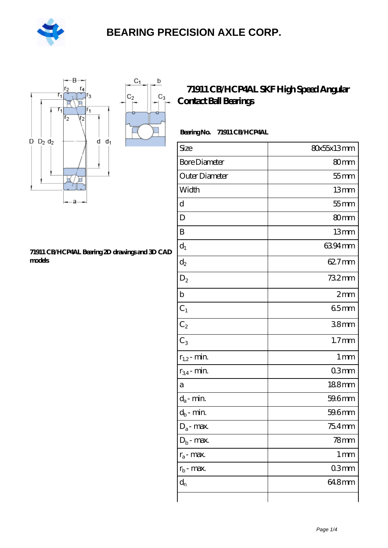

 $\sf b$ 

ó

 $C_3$ 



#### **[71911 CB/HCP4AL Bearing 2D drawings and 3D CAD](https://m.hilalanaokulu.com/pic-660678.html) [models](https://m.hilalanaokulu.com/pic-660678.html)**

### **[71911 CB/HCP4AL SKF High Speed Angular](https://m.hilalanaokulu.com/skf-bearings/71911-cb-hcp4al.html) [Contact Ball Bearings](https://m.hilalanaokulu.com/skf-bearings/71911-cb-hcp4al.html)**

### **Bearing No. 71911 CB/HCP4AL**

| Size                 | 80x55x13mm        |
|----------------------|-------------------|
| <b>Bore Diameter</b> | 80mm              |
| Outer Diameter       | $55$ mm           |
| Width                | 13mm              |
| d                    | $55$ mm           |
| D                    | 80mm              |
| B                    | 13mm              |
| $d_1$                | 6394mm            |
| $d_2$                | 62.7mm            |
| $\mathrm{D}_2$       | 732mm             |
| $\mathbf b$          | 2mm               |
| $C_1$                | 65mm              |
| $C_2$                | 38mm              |
| $C_3$                | 1.7 <sub>mm</sub> |
| $r_{1,2}$ - min.     | 1 <sub>mm</sub>   |
| $r_{34}$ - min.      | 03mm              |
| a                    | 188mm             |
| $d_a$ - min.         | 59.6mm            |
| $d_b$ - min.         | 59.6mm            |
| $D_a$ - max.         | 75.4mm            |
| $Db$ - max.          | $78$ mm           |
| $r_a$ - max.         | $1 \,\mathrm{mm}$ |
| $r_{\rm b}$ - max.   | 03mm              |
| $d_{n}$              | 648mm             |
|                      |                   |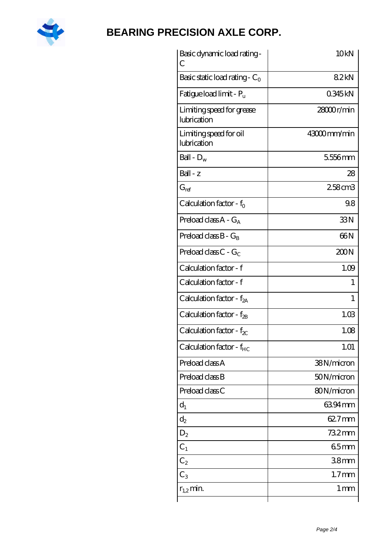

| Basic dynamic load rating-<br>С          | 10 <sub>kN</sub>  |
|------------------------------------------|-------------------|
| Basic static load rating - $C_0$         | 82kN              |
| Fatigue load limit - P <sub>u</sub>      | 0345kN            |
| Limiting speed for grease<br>lubrication | 28000r/min        |
| Limiting speed for oil<br>lubrication    | 43000mm/min       |
| Ball - $D_w$                             | 5556mm            |
| $Ball - z$                               | 28                |
| $G_{ref}$                                | 258cm3            |
| Calculation factor - $f_0$               | 98                |
| Preload class $A - G_A$                  | 33N               |
| Preload class $B - G_R$                  | 66N               |
| Preload class $C - G_C$                  | 200N              |
| Calculation factor - f                   | 1.09              |
| Calculation factor - f                   | 1                 |
| Calculation factor - f <sub>2A</sub>     | 1                 |
| Calculation factor - $f_{2B}$            | 1.03              |
| Calculation factor - $f_{\chi}$          | 1.08              |
| Calculation factor - $f_{HC}$            | 1.01              |
| Preload class A                          | 38N/micron        |
| Preload class B                          | 50N/micron        |
| Preload class C                          | 80N/micron        |
| $d_1$                                    | 6394mm            |
| $d_2$                                    | 62.7mm            |
| $D_2$                                    | 732mm             |
| $C_{1}$                                  | 65mm              |
| $C_2$                                    | 38 <sub>mm</sub>  |
| $C_3$                                    | 1.7 <sub>mm</sub> |
| $r_{1,2}$ min.                           | 1 <sub>mm</sub>   |
|                                          |                   |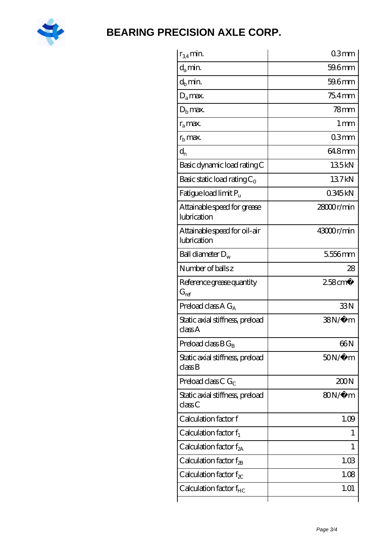

| $r_{34}$ min.                               | 03mm                  |
|---------------------------------------------|-----------------------|
| $d_{a}$ min.                                | 59.6mm                |
| $d_h$ min.                                  | 59.6mm                |
| $D_a$ max.                                  | $754$ mm              |
| $Db$ max.                                   | $78$ mm               |
| $r_a$ max.                                  | $1 \,\mathrm{mm}$     |
| $rb$ max.                                   | 03mm                  |
| $d_{n}$                                     | 64.8mm                |
| Basic dynamic load rating C                 | 135kN                 |
| Basic static load rating $C_0$              | 137kN                 |
| Fatigue load limit $P_u$                    | 0345kN                |
| Attainable speed for grease<br>lubrication  | 2800r/min             |
| Attainable speed for oil-air<br>lubrication | 43000r/min            |
| Ball diameter $D_w$                         | 5556mm                |
| Number of balls z                           | 28                    |
| Reference grease quantity<br>$G_{\rm ref}$  | $258$ cm <sup>3</sup> |
| Preload class A $G_A$                       | 33N                   |
| Static axial stiffness, preload<br>classA   | 38N/μ m               |
| Preload class $B G_B$                       | 66N                   |
| Static axial stiffness, preload<br>classB   | $50N/\mu$ m           |
| Preload class C $G_C$                       | 200N                  |
| Static axial stiffness, preload<br>classC   | 80N/μ m               |
| Calculation factor f                        | 1.09                  |
| Calculation factor $f_1$                    | $\mathbf{I}$          |
| Calculation factor $f_{2A}$                 | 1                     |
| Calculation factor $f_{2B}$                 | 1.03                  |
| Calculation factor $f_{\chi}$               | 1.08                  |
| Calculation factor $f_{HC}$                 | 1.01                  |
|                                             |                       |